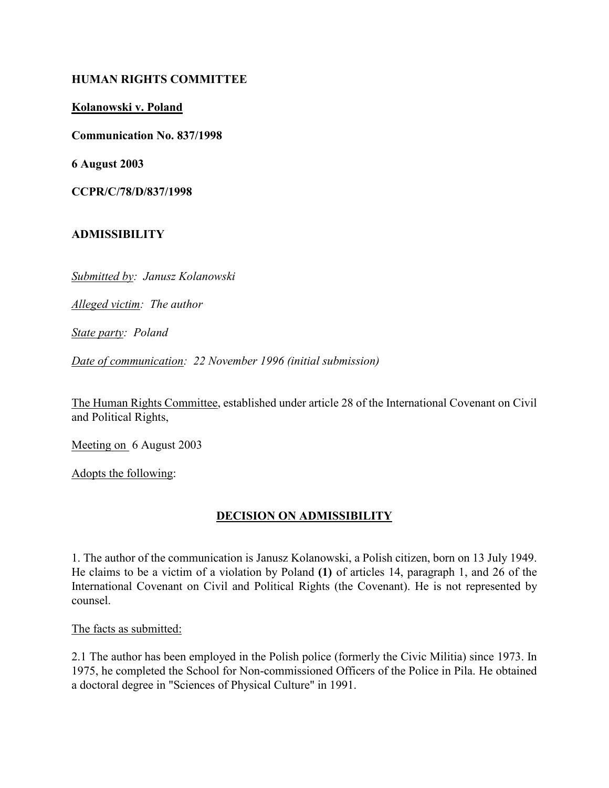#### HUMAN RIGHTS COMMITTEE

Kolanowski v. Poland

Communication No. 837/1998

6 August 2003

CCPR/C/78/D/837/1998

#### ADMISSIBILITY

Submitted by: Janusz Kolanowski

Alleged victim: The author

State party: Poland

Date of communication: 22 November 1996 (initial submission)

The Human Rights Committee, established under article 28 of the International Covenant on Civil and Political Rights,

Meeting on 6 August 2003

Adopts the following:

## DECISION ON ADMISSIBILITY

1. The author of the communication is Janusz Kolanowski, a Polish citizen, born on 13 July 1949. He claims to be a victim of a violation by Poland (1) of articles 14, paragraph 1, and 26 of the International Covenant on Civil and Political Rights (the Covenant). He is not represented by counsel.

The facts as submitted:

2.1 The author has been employed in the Polish police (formerly the Civic Militia) since 1973. In 1975, he completed the School for Non-commissioned Officers of the Police in Pila. He obtained a doctoral degree in "Sciences of Physical Culture" in 1991.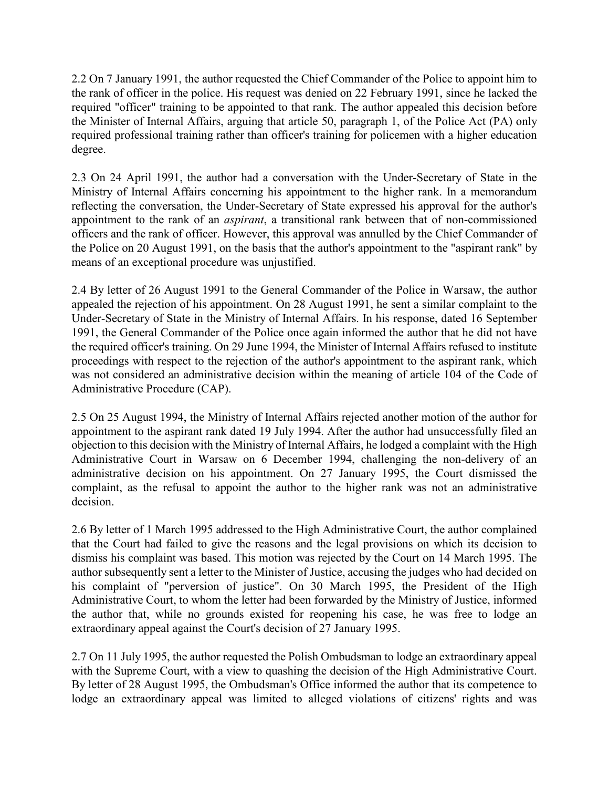2.2 On 7 January 1991, the author requested the Chief Commander of the Police to appoint him to the rank of officer in the police. His request was denied on 22 February 1991, since he lacked the required "officer" training to be appointed to that rank. The author appealed this decision before the Minister of Internal Affairs, arguing that article 50, paragraph 1, of the Police Act (PA) only required professional training rather than officer's training for policemen with a higher education degree.

2.3 On 24 April 1991, the author had a conversation with the Under-Secretary of State in the Ministry of Internal Affairs concerning his appointment to the higher rank. In a memorandum reflecting the conversation, the Under-Secretary of State expressed his approval for the author's appointment to the rank of an aspirant, a transitional rank between that of non-commissioned officers and the rank of officer. However, this approval was annulled by the Chief Commander of the Police on 20 August 1991, on the basis that the author's appointment to the "aspirant rank" by means of an exceptional procedure was unjustified.

2.4 By letter of 26 August 1991 to the General Commander of the Police in Warsaw, the author appealed the rejection of his appointment. On 28 August 1991, he sent a similar complaint to the Under-Secretary of State in the Ministry of Internal Affairs. In his response, dated 16 September 1991, the General Commander of the Police once again informed the author that he did not have the required officer's training. On 29 June 1994, the Minister of Internal Affairs refused to institute proceedings with respect to the rejection of the author's appointment to the aspirant rank, which was not considered an administrative decision within the meaning of article 104 of the Code of Administrative Procedure (CAP).

2.5 On 25 August 1994, the Ministry of Internal Affairs rejected another motion of the author for appointment to the aspirant rank dated 19 July 1994. After the author had unsuccessfully filed an objection to this decision with the Ministry of Internal Affairs, he lodged a complaint with the High Administrative Court in Warsaw on 6 December 1994, challenging the non-delivery of an administrative decision on his appointment. On 27 January 1995, the Court dismissed the complaint, as the refusal to appoint the author to the higher rank was not an administrative decision.

2.6 By letter of 1 March 1995 addressed to the High Administrative Court, the author complained that the Court had failed to give the reasons and the legal provisions on which its decision to dismiss his complaint was based. This motion was rejected by the Court on 14 March 1995. The author subsequently sent a letter to the Minister of Justice, accusing the judges who had decided on his complaint of "perversion of justice". On 30 March 1995, the President of the High Administrative Court, to whom the letter had been forwarded by the Ministry of Justice, informed the author that, while no grounds existed for reopening his case, he was free to lodge an extraordinary appeal against the Court's decision of 27 January 1995.

2.7 On 11 July 1995, the author requested the Polish Ombudsman to lodge an extraordinary appeal with the Supreme Court, with a view to quashing the decision of the High Administrative Court. By letter of 28 August 1995, the Ombudsman's Office informed the author that its competence to lodge an extraordinary appeal was limited to alleged violations of citizens' rights and was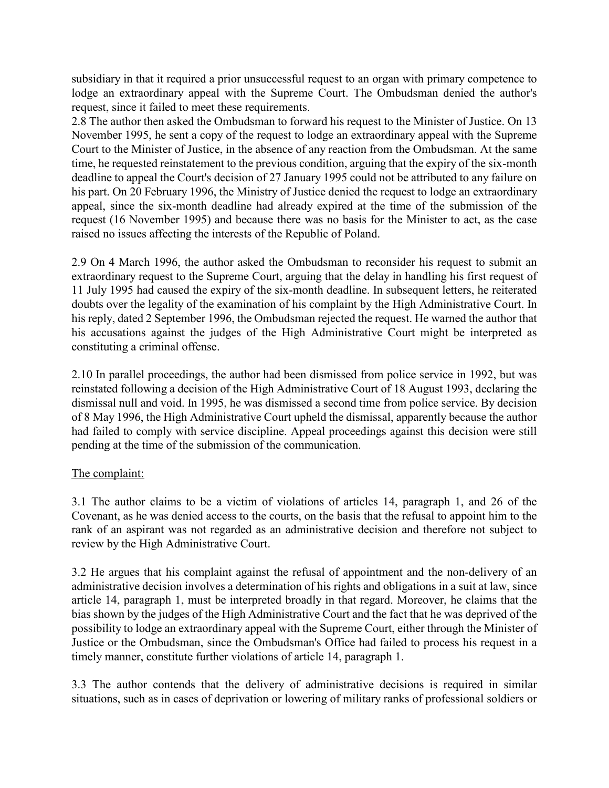subsidiary in that it required a prior unsuccessful request to an organ with primary competence to lodge an extraordinary appeal with the Supreme Court. The Ombudsman denied the author's request, since it failed to meet these requirements.

2.8 The author then asked the Ombudsman to forward his request to the Minister of Justice. On 13 November 1995, he sent a copy of the request to lodge an extraordinary appeal with the Supreme Court to the Minister of Justice, in the absence of any reaction from the Ombudsman. At the same time, he requested reinstatement to the previous condition, arguing that the expiry of the six-month deadline to appeal the Court's decision of 27 January 1995 could not be attributed to any failure on his part. On 20 February 1996, the Ministry of Justice denied the request to lodge an extraordinary appeal, since the six-month deadline had already expired at the time of the submission of the request (16 November 1995) and because there was no basis for the Minister to act, as the case raised no issues affecting the interests of the Republic of Poland.

2.9 On 4 March 1996, the author asked the Ombudsman to reconsider his request to submit an extraordinary request to the Supreme Court, arguing that the delay in handling his first request of 11 July 1995 had caused the expiry of the six-month deadline. In subsequent letters, he reiterated doubts over the legality of the examination of his complaint by the High Administrative Court. In his reply, dated 2 September 1996, the Ombudsman rejected the request. He warned the author that his accusations against the judges of the High Administrative Court might be interpreted as constituting a criminal offense.

2.10 In parallel proceedings, the author had been dismissed from police service in 1992, but was reinstated following a decision of the High Administrative Court of 18 August 1993, declaring the dismissal null and void. In 1995, he was dismissed a second time from police service. By decision of 8 May 1996, the High Administrative Court upheld the dismissal, apparently because the author had failed to comply with service discipline. Appeal proceedings against this decision were still pending at the time of the submission of the communication.

## The complaint:

3.1 The author claims to be a victim of violations of articles 14, paragraph 1, and 26 of the Covenant, as he was denied access to the courts, on the basis that the refusal to appoint him to the rank of an aspirant was not regarded as an administrative decision and therefore not subject to review by the High Administrative Court.

3.2 He argues that his complaint against the refusal of appointment and the non-delivery of an administrative decision involves a determination of his rights and obligations in a suit at law, since article 14, paragraph 1, must be interpreted broadly in that regard. Moreover, he claims that the bias shown by the judges of the High Administrative Court and the fact that he was deprived of the possibility to lodge an extraordinary appeal with the Supreme Court, either through the Minister of Justice or the Ombudsman, since the Ombudsman's Office had failed to process his request in a timely manner, constitute further violations of article 14, paragraph 1.

3.3 The author contends that the delivery of administrative decisions is required in similar situations, such as in cases of deprivation or lowering of military ranks of professional soldiers or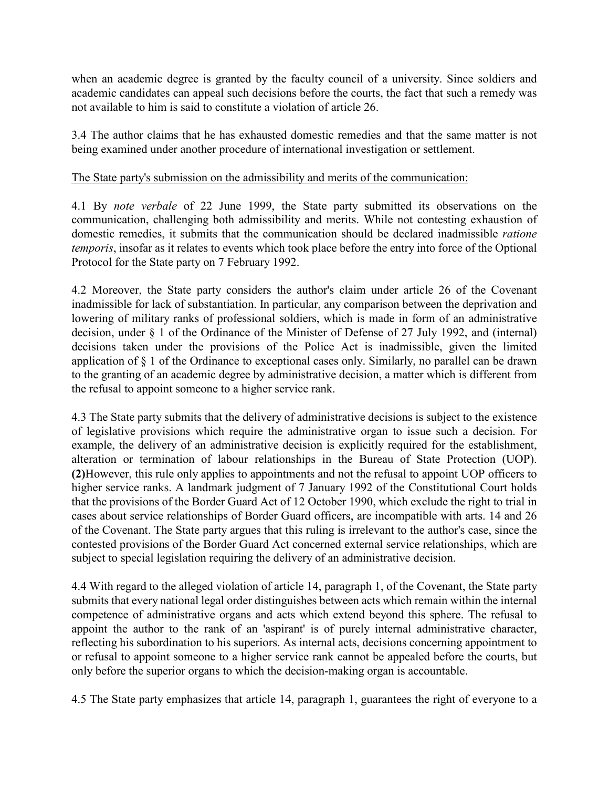when an academic degree is granted by the faculty council of a university. Since soldiers and academic candidates can appeal such decisions before the courts, the fact that such a remedy was not available to him is said to constitute a violation of article 26.

3.4 The author claims that he has exhausted domestic remedies and that the same matter is not being examined under another procedure of international investigation or settlement.

# The State party's submission on the admissibility and merits of the communication:

4.1 By note verbale of 22 June 1999, the State party submitted its observations on the communication, challenging both admissibility and merits. While not contesting exhaustion of domestic remedies, it submits that the communication should be declared inadmissible ratione temporis, insofar as it relates to events which took place before the entry into force of the Optional Protocol for the State party on 7 February 1992.

4.2 Moreover, the State party considers the author's claim under article 26 of the Covenant inadmissible for lack of substantiation. In particular, any comparison between the deprivation and lowering of military ranks of professional soldiers, which is made in form of an administrative decision, under § 1 of the Ordinance of the Minister of Defense of 27 July 1992, and (internal) decisions taken under the provisions of the Police Act is inadmissible, given the limited application of § 1 of the Ordinance to exceptional cases only. Similarly, no parallel can be drawn to the granting of an academic degree by administrative decision, a matter which is different from the refusal to appoint someone to a higher service rank.

4.3 The State party submits that the delivery of administrative decisions is subject to the existence of legislative provisions which require the administrative organ to issue such a decision. For example, the delivery of an administrative decision is explicitly required for the establishment, alteration or termination of labour relationships in the Bureau of State Protection (UOP). (2)However, this rule only applies to appointments and not the refusal to appoint UOP officers to higher service ranks. A landmark judgment of 7 January 1992 of the Constitutional Court holds that the provisions of the Border Guard Act of 12 October 1990, which exclude the right to trial in cases about service relationships of Border Guard officers, are incompatible with arts. 14 and 26 of the Covenant. The State party argues that this ruling is irrelevant to the author's case, since the contested provisions of the Border Guard Act concerned external service relationships, which are subject to special legislation requiring the delivery of an administrative decision.

4.4 With regard to the alleged violation of article 14, paragraph 1, of the Covenant, the State party submits that every national legal order distinguishes between acts which remain within the internal competence of administrative organs and acts which extend beyond this sphere. The refusal to appoint the author to the rank of an 'aspirant' is of purely internal administrative character, reflecting his subordination to his superiors. As internal acts, decisions concerning appointment to or refusal to appoint someone to a higher service rank cannot be appealed before the courts, but only before the superior organs to which the decision-making organ is accountable.

4.5 The State party emphasizes that article 14, paragraph 1, guarantees the right of everyone to a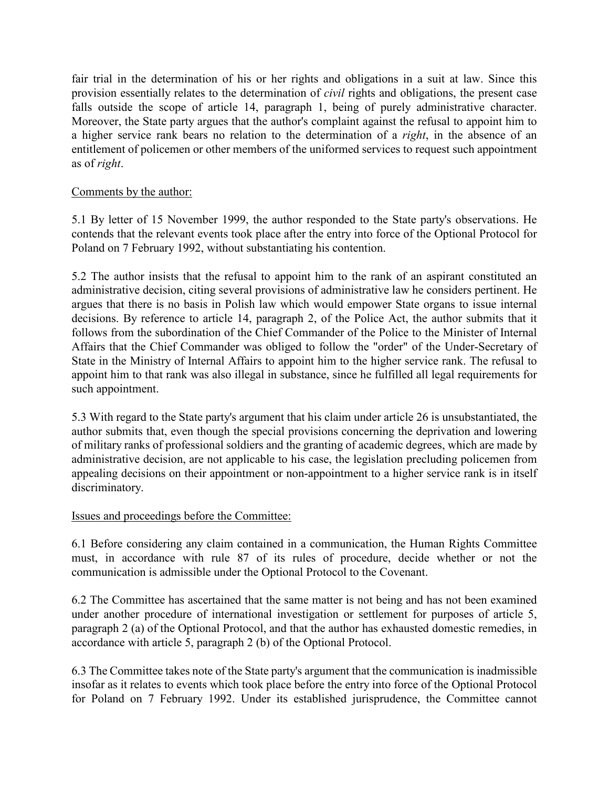fair trial in the determination of his or her rights and obligations in a suit at law. Since this provision essentially relates to the determination of civil rights and obligations, the present case falls outside the scope of article 14, paragraph 1, being of purely administrative character. Moreover, the State party argues that the author's complaint against the refusal to appoint him to a higher service rank bears no relation to the determination of a *right*, in the absence of an entitlement of policemen or other members of the uniformed services to request such appointment as of right.

# Comments by the author:

5.1 By letter of 15 November 1999, the author responded to the State party's observations. He contends that the relevant events took place after the entry into force of the Optional Protocol for Poland on 7 February 1992, without substantiating his contention.

5.2 The author insists that the refusal to appoint him to the rank of an aspirant constituted an administrative decision, citing several provisions of administrative law he considers pertinent. He argues that there is no basis in Polish law which would empower State organs to issue internal decisions. By reference to article 14, paragraph 2, of the Police Act, the author submits that it follows from the subordination of the Chief Commander of the Police to the Minister of Internal Affairs that the Chief Commander was obliged to follow the "order" of the Under-Secretary of State in the Ministry of Internal Affairs to appoint him to the higher service rank. The refusal to appoint him to that rank was also illegal in substance, since he fulfilled all legal requirements for such appointment.

5.3 With regard to the State party's argument that his claim under article 26 is unsubstantiated, the author submits that, even though the special provisions concerning the deprivation and lowering of military ranks of professional soldiers and the granting of academic degrees, which are made by administrative decision, are not applicable to his case, the legislation precluding policemen from appealing decisions on their appointment or non-appointment to a higher service rank is in itself discriminatory.

## Issues and proceedings before the Committee:

6.1 Before considering any claim contained in a communication, the Human Rights Committee must, in accordance with rule 87 of its rules of procedure, decide whether or not the communication is admissible under the Optional Protocol to the Covenant.

6.2 The Committee has ascertained that the same matter is not being and has not been examined under another procedure of international investigation or settlement for purposes of article 5, paragraph 2 (a) of the Optional Protocol, and that the author has exhausted domestic remedies, in accordance with article 5, paragraph 2 (b) of the Optional Protocol.

6.3 The Committee takes note of the State party's argument that the communication is inadmissible insofar as it relates to events which took place before the entry into force of the Optional Protocol for Poland on 7 February 1992. Under its established jurisprudence, the Committee cannot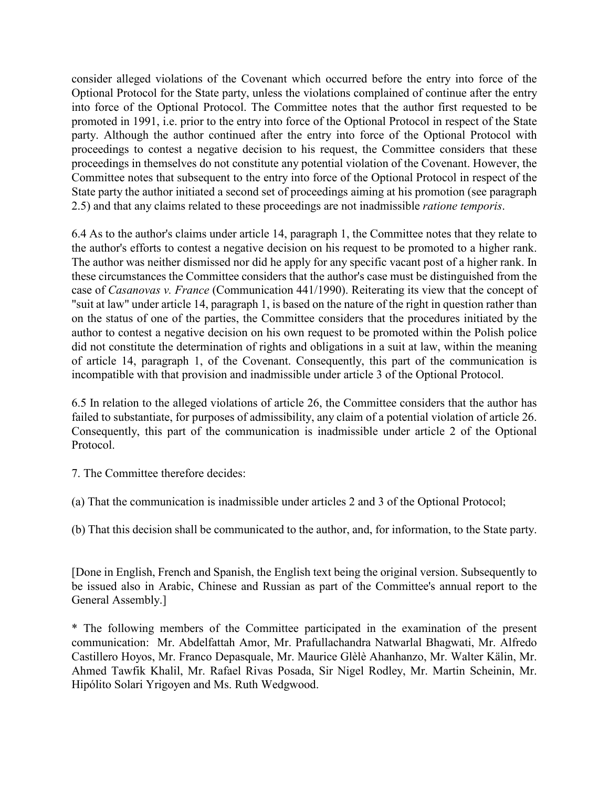consider alleged violations of the Covenant which occurred before the entry into force of the Optional Protocol for the State party, unless the violations complained of continue after the entry into force of the Optional Protocol. The Committee notes that the author first requested to be promoted in 1991, i.e. prior to the entry into force of the Optional Protocol in respect of the State party. Although the author continued after the entry into force of the Optional Protocol with proceedings to contest a negative decision to his request, the Committee considers that these proceedings in themselves do not constitute any potential violation of the Covenant. However, the Committee notes that subsequent to the entry into force of the Optional Protocol in respect of the State party the author initiated a second set of proceedings aiming at his promotion (see paragraph 2.5) and that any claims related to these proceedings are not inadmissible ratione temporis.

6.4 As to the author's claims under article 14, paragraph 1, the Committee notes that they relate to the author's efforts to contest a negative decision on his request to be promoted to a higher rank. The author was neither dismissed nor did he apply for any specific vacant post of a higher rank. In these circumstances the Committee considers that the author's case must be distinguished from the case of Casanovas v. France (Communication 441/1990). Reiterating its view that the concept of "suit at law" under article 14, paragraph 1, is based on the nature of the right in question rather than on the status of one of the parties, the Committee considers that the procedures initiated by the author to contest a negative decision on his own request to be promoted within the Polish police did not constitute the determination of rights and obligations in a suit at law, within the meaning of article 14, paragraph 1, of the Covenant. Consequently, this part of the communication is incompatible with that provision and inadmissible under article 3 of the Optional Protocol.

6.5 In relation to the alleged violations of article 26, the Committee considers that the author has failed to substantiate, for purposes of admissibility, any claim of a potential violation of article 26. Consequently, this part of the communication is inadmissible under article 2 of the Optional Protocol.

7. The Committee therefore decides:

(a) That the communication is inadmissible under articles 2 and 3 of the Optional Protocol;

(b) That this decision shall be communicated to the author, and, for information, to the State party.

[Done in English, French and Spanish, the English text being the original version. Subsequently to be issued also in Arabic, Chinese and Russian as part of the Committee's annual report to the General Assembly.]

\* The following members of the Committee participated in the examination of the present communication: Mr. Abdelfattah Amor, Mr. Prafullachandra Natwarlal Bhagwati, Mr. Alfredo Castillero Hoyos, Mr. Franco Depasquale, Mr. Maurice Glèlè Ahanhanzo, Mr. Walter Kälin, Mr. Ahmed Tawfik Khalil, Mr. Rafael Rivas Posada, Sir Nigel Rodley, Mr. Martin Scheinin, Mr. Hipólito Solari Yrigoyen and Ms. Ruth Wedgwood.